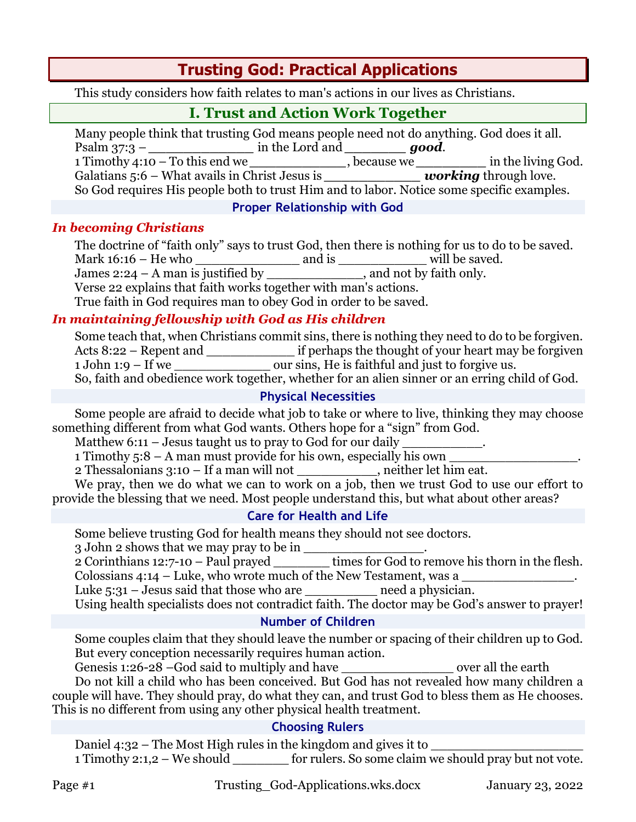# **Trusting God: Practical Applications**

This study considers how faith relates to man's actions in our lives as Christians.

## **I. Trust and Action Work Together**

Many people think that trusting God means people need not do anything. God does it all. Psalm 37:3 – *\_\_\_\_\_\_\_\_\_\_\_\_* in the Lord and *\_\_\_\_\_\_\_ good*. 1 Timothy 4:10 – To this end we *\_\_\_\_\_\_\_\_\_\_\_*, because we *\_\_\_\_\_\_\_\_* in the living God. Galatians 5:6 – What avails in Christ Jesus is *\_\_\_\_\_\_\_\_\_\_\_\_\_\_\_\_\_\_ working* through love. So God requires His people both to trust Him and to labor. Notice some specific examples.

**Proper Relationship with God**

#### *In becoming Christians*

The doctrine of "faith only" says to trust God, then there is nothing for us to do to be saved. Mark 16:16 – He who \_\_\_\_\_\_\_\_\_\_\_\_\_ and is \_\_\_\_\_\_\_\_\_\_\_ will be saved.

James 2:24 – A man is justified by  $\qquad$ 

Verse 22 explains that faith works together with man's actions.

True faith in God requires man to obey God in order to be saved.

## *In maintaining fellowship with God as His children*

Some teach that, when Christians commit sins, there is nothing they need to do to be forgiven. Acts 8:22 – Repent and \_\_\_\_\_\_\_\_\_\_\_\_\_\_ if perhaps the thought of your heart may be forgiven 1 John 1:9 – If we \_\_\_\_\_\_\_\_\_\_\_\_ our sins, He is faithful and just to forgive us. So, faith and obedience work together, whether for an alien sinner or an erring child of God.

#### **Physical Necessities**

Some people are afraid to decide what job to take or where to live, thinking they may choose something different from what God wants. Others hope for a "sign" from God.

Matthew  $6:11$  – Jesus taught us to pray to God for our daily

1 Timothy  $5:8 - A$  man must provide for his own, especially his own

2 Thessalonians 3:10 – If a man will not \_\_\_\_\_\_\_\_\_\_, neither let him eat.

We pray, then we do what we can to work on a job, then we trust God to use our effort to provide the blessing that we need. Most people understand this, but what about other areas?

## **Care for Health and Life**

Some believe trusting God for health means they should not see doctors.

3 John 2 shows that we may pray to be in  $\frac{1}{\sqrt{2}}$ 

2 Corinthians 12:7-10 – Paul prayed \_\_\_\_\_\_\_ times for God to remove his thorn in the flesh. Colossians 4:14 – Luke, who wrote much of the New Testament, was a

Luke 5:31 – Jesus said that those who are \_\_\_\_\_\_\_\_\_\_\_\_ need a physician.

Using health specialists does not contradict faith. The doctor may be God's answer to prayer! **Number of Children**

Some couples claim that they should leave the number or spacing of their children up to God. But every conception necessarily requires human action.

Genesis 1:26-28 –God said to multiply and have \_\_\_\_\_\_\_\_\_\_\_\_\_\_\_\_\_\_\_\_ over all the earth Do not kill a child who has been conceived. But God has not revealed how many children a couple will have. They should pray, do what they can, and trust God to bless them as He chooses. This is no different from using any other physical health treatment.

## **Choosing Rulers**

Daniel 4:32 – The Most High rules in the kingdom and gives it to 1 Timothy 2:1,2 – We should \_\_\_\_\_\_\_ for rulers. So some claim we should pray but not vote.